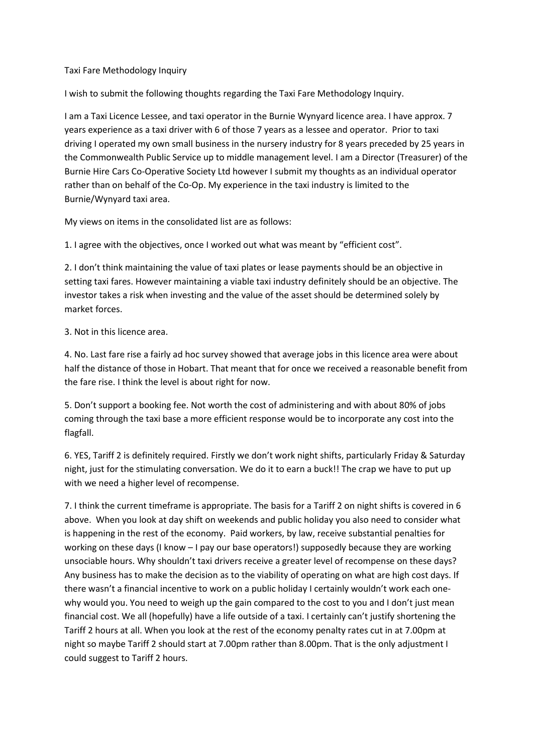## Taxi Fare Methodology Inquiry

I wish to submit the following thoughts regarding the Taxi Fare Methodology Inquiry.

I am a Taxi Licence Lessee, and taxi operator in the Burnie Wynyard licence area. I have approx. 7 years experience as a taxi driver with 6 of those 7 years as a lessee and operator. Prior to taxi driving I operated my own small business in the nursery industry for 8 years preceded by 25 years in the Commonwealth Public Service up to middle management level. I am a Director (Treasurer) of the Burnie Hire Cars Co-Operative Society Ltd however I submit my thoughts as an individual operator rather than on behalf of the Co-Op. My experience in the taxi industry is limited to the Burnie/Wynyard taxi area.

My views on items in the consolidated list are as follows:

1. I agree with the objectives, once I worked out what was meant by "efficient cost".

2. I don't think maintaining the value of taxi plates or lease payments should be an objective in setting taxi fares. However maintaining a viable taxi industry definitely should be an objective. The investor takes a risk when investing and the value of the asset should be determined solely by market forces.

3. Not in this licence area.

4. No. Last fare rise a fairly ad hoc survey showed that average jobs in this licence area were about half the distance of those in Hobart. That meant that for once we received a reasonable benefit from the fare rise. I think the level is about right for now.

5. Don't support a booking fee. Not worth the cost of administering and with about 80% of jobs coming through the taxi base a more efficient response would be to incorporate any cost into the flagfall.

6. YES, Tariff 2 is definitely required. Firstly we don't work night shifts, particularly Friday & Saturday night, just for the stimulating conversation. We do it to earn a buck!! The crap we have to put up with we need a higher level of recompense.

7. I think the current timeframe is appropriate. The basis for a Tariff 2 on night shifts is covered in 6 above. When you look at day shift on weekends and public holiday you also need to consider what is happening in the rest of the economy. Paid workers, by law, receive substantial penalties for working on these days (I know – I pay our base operators!) supposedly because they are working unsociable hours. Why shouldn't taxi drivers receive a greater level of recompense on these days? Any business has to make the decision as to the viability of operating on what are high cost days. If there wasn't a financial incentive to work on a public holiday I certainly wouldn't work each onewhy would you. You need to weigh up the gain compared to the cost to you and I don't just mean financial cost. We all (hopefully) have a life outside of a taxi. I certainly can't justify shortening the Tariff 2 hours at all. When you look at the rest of the economy penalty rates cut in at 7.00pm at night so maybe Tariff 2 should start at 7.00pm rather than 8.00pm. That is the only adjustment I could suggest to Tariff 2 hours.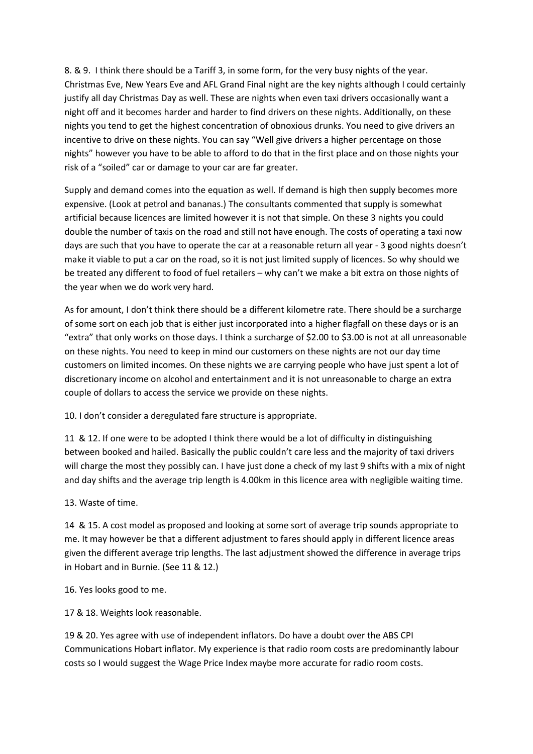8. & 9. I think there should be a Tariff 3, in some form, for the very busy nights of the year. Christmas Eve, New Years Eve and AFL Grand Final night are the key nights although I could certainly justify all day Christmas Day as well. These are nights when even taxi drivers occasionally want a night off and it becomes harder and harder to find drivers on these nights. Additionally, on these nights you tend to get the highest concentration of obnoxious drunks. You need to give drivers an incentive to drive on these nights. You can say "Well give drivers a higher percentage on those nights" however you have to be able to afford to do that in the first place and on those nights your risk of a "soiled" car or damage to your car are far greater.

Supply and demand comes into the equation as well. If demand is high then supply becomes more expensive. (Look at petrol and bananas.) The consultants commented that supply is somewhat artificial because licences are limited however it is not that simple. On these 3 nights you could double the number of taxis on the road and still not have enough. The costs of operating a taxi now days are such that you have to operate the car at a reasonable return all year - 3 good nights doesn't make it viable to put a car on the road, so it is not just limited supply of licences. So why should we be treated any different to food of fuel retailers – why can't we make a bit extra on those nights of the year when we do work very hard.

As for amount, I don't think there should be a different kilometre rate. There should be a surcharge of some sort on each job that is either just incorporated into a higher flagfall on these days or is an "extra" that only works on those days. I think a surcharge of \$2.00 to \$3.00 is not at all unreasonable on these nights. You need to keep in mind our customers on these nights are not our day time customers on limited incomes. On these nights we are carrying people who have just spent a lot of discretionary income on alcohol and entertainment and it is not unreasonable to charge an extra couple of dollars to access the service we provide on these nights.

10. I don't consider a deregulated fare structure is appropriate.

11 & 12. If one were to be adopted I think there would be a lot of difficulty in distinguishing between booked and hailed. Basically the public couldn't care less and the majority of taxi drivers will charge the most they possibly can. I have just done a check of my last 9 shifts with a mix of night and day shifts and the average trip length is 4.00km in this licence area with negligible waiting time.

## 13. Waste of time.

14 & 15. A cost model as proposed and looking at some sort of average trip sounds appropriate to me. It may however be that a different adjustment to fares should apply in different licence areas given the different average trip lengths. The last adjustment showed the difference in average trips in Hobart and in Burnie. (See 11 & 12.)

16. Yes looks good to me.

17 & 18. Weights look reasonable.

19 & 20. Yes agree with use of independent inflators. Do have a doubt over the ABS CPI Communications Hobart inflator. My experience is that radio room costs are predominantly labour costs so I would suggest the Wage Price Index maybe more accurate for radio room costs.